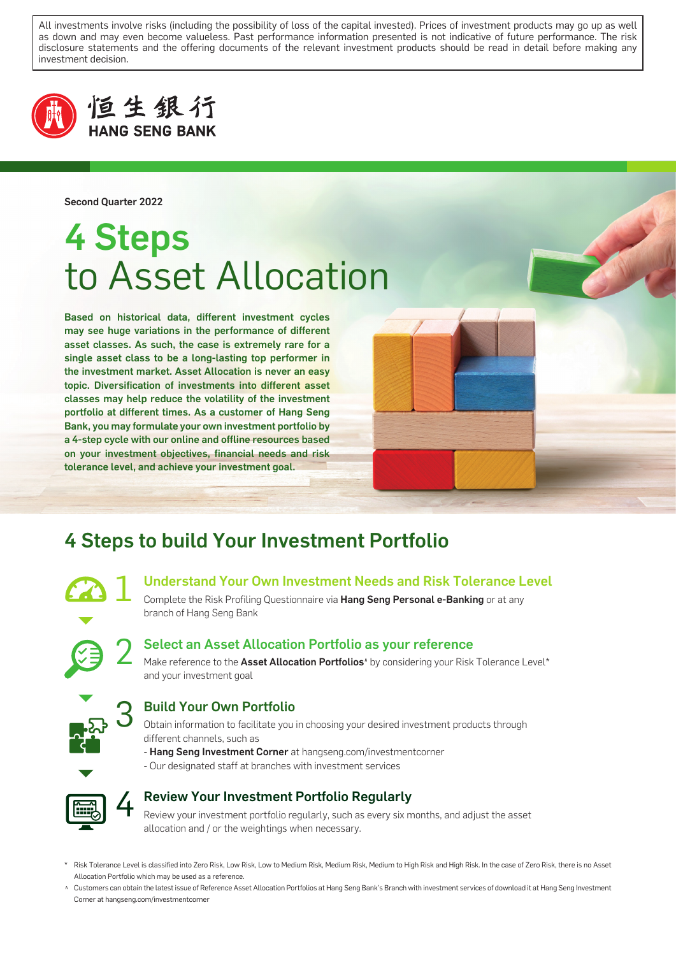All investments involve risks (including the possibility of loss of the capital invested). Prices of investment products may go up as well as down and may even become valueless. Past performance information presented is not indicative of future performance. The risk disclosure statements and the offering documents of the relevant investment products should be read in detail before making any investment decision.



### 恒生銀行 **HANG SENG BANK**

Second Quarter 2022

# 4 Steps to Asset Allocation

Based on historical data, different investment cycles may see huge variations in the performance of different asset classes. As such, the case is extremely rare for a single asset class to be a long-lasting top performer in the investment market. Asset Allocation is never an easy topic. Diversification of investments into different asset classes may help reduce the volatility of the investment portfolio at different times. As a customer of Hang Seng Bank, you may formulate your own investment portfolio by a 4-step cycle with our online and offline resources based on your investment objectives, financial needs and risk tolerance level, and achieve your investment goal.



### 4 Steps to build Your Investment Portfolio

#### 1 Understand Your Own Investment Needs and Risk Tolerance Level

Complete the Risk Profiling Questionnaire via Hang Seng Personal e-Banking or at any branch of Hang Seng Bank



#### Select an Asset Allocation Portfolio as your reference

Make reference to the Asset Allocation Portfolios<sup>^</sup> by considering your Risk Tolerance Level\* and your investment goal



#### Build Your Own Portfolio

Obtain information to facilitate you in choosing your desired investment products through different channels, such as

- Hang Seng Investment Corner at hangseng.com/investmentcorner
- Our designated staff at branches with investment services



#### Review Your Investment Portfolio Regularly

Review your investment portfolio regularly, such as every six months, and adjust the asset allocation and / or the weightings when necessary.

- \* Risk Tolerance Level is classified into Zero Risk, Low Risk, Low to Medium Risk, Medium Risk, Medium to High Risk and High Risk. In the case of Zero Risk, there is no Asset Allocation Portfolio which may be used as a reference.
- A Customers can obtain the latest issue of Reference Asset Allocation Portfolios at Hang Seng Bank's Branch with investment services of download it at Hang Seng Investment Corner at hangseng.com/investmentcorner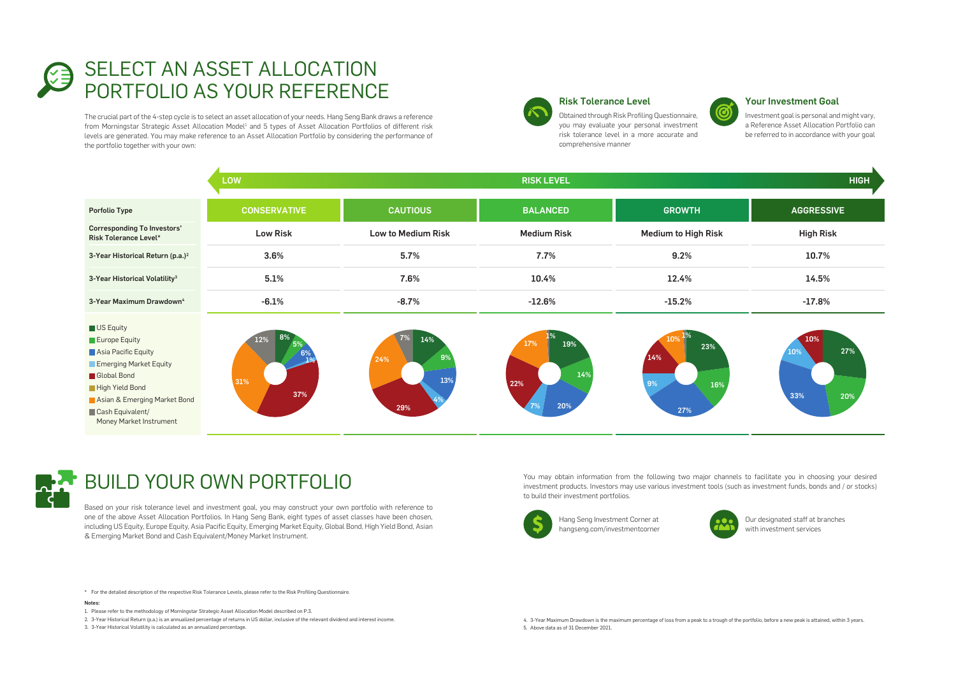Notes:

- 1. Please refer to the methodology of Morningstar Strategic Asset Allocation Model described on P.3.
- 2. 3-Year Historical Return (p.a.) is an annualized percentage of returns in US dollar, inclusive of the relevant dividend and interest income.
- 3. 3-Year Historical Volatility is calculated as an annualized percentage.
- 4. 3-Year Maximum Drawdown is the maximum percentage of loss from a peak to a trough of the portfolio, before a new peak is attained, within 3 years.
- 5. Above data as of 31 December 2021.



You may obtain information from the following two major channels to facilitate you in choosing your desired investment products. Investors may use various investment tools (such as investment funds, bonds and / or stocks) to build their investment portfolios.



#### Risk Tolerance Level

Obtained through Risk Profiling Questionnaire, you may evaluate your personal investment risk tolerance level in a more accurate and comprehensive manner

#### Your Investment Goal

Investment goal is personal and might vary, a Reference Asset Allocation Portfolio can be referred to in accordance with your goal

|                                                                                                                                                                                                             | <b>LOW</b>              |                                      | <b>RISK LEVEL</b>                     |                                             | <b>HIGH</b>                     |
|-------------------------------------------------------------------------------------------------------------------------------------------------------------------------------------------------------------|-------------------------|--------------------------------------|---------------------------------------|---------------------------------------------|---------------------------------|
| <b>Porfolio Type</b>                                                                                                                                                                                        | <b>CONSERVATIVE</b>     | <b>CAUTIOUS</b>                      | <b>BALANCED</b>                       | <b>GROWTH</b>                               | <b>AGGRESSIVE</b>               |
| <b>Corresponding To Investors'</b><br><b>Risk Tolerance Level*</b>                                                                                                                                          | <b>Low Risk</b>         | <b>Low to Medium Risk</b>            | <b>Medium Risk</b>                    | <b>Medium to High Risk</b>                  | <b>High Risk</b>                |
| 3-Year Historical Return (p.a.) <sup>2</sup>                                                                                                                                                                | 3.6%                    | 5.7%                                 | 7.7%                                  | 9.2%                                        | 10.7%                           |
| 3-Year Historical Volatility <sup>3</sup>                                                                                                                                                                   | 5.1%                    | 7.6%                                 | 10.4%                                 | 12.4%                                       | 14.5%                           |
| 3-Year Maximum Drawdown <sup>4</sup>                                                                                                                                                                        | $-6.1%$                 | $-8.7%$                              | $-12.6%$                              | $-15.2%$                                    | $-17.8%$                        |
| US Equity<br>$\blacksquare$ Europe Equity<br>Asia Pacific Equity<br>Emerging Market Equity<br>Global Bond<br>High Yield Bond<br>Asian & Emerging Market Bond<br>Cash Equivalent/<br>Money Market Instrument | 8%<br>12%<br>31%<br>37% | 7%<br>14%<br>9%<br>24%<br>13%<br>29% | 17%<br>19%<br>14%<br>22%<br>20%<br>7% | 1%<br>10%<br>23%<br>14%<br>9%<br>16%<br>27% | 10%<br>27%<br>10%<br>33%<br>20% |



## **BUILD YOUR OWN PORTFOLIO**



### SELECT AN ASSET ALLOCATION PORTFOLIO AS YOUR REFERENCE

The crucial part of the 4-step cycle is to select an asset allocation of your needs. Hang Seng Bank draws a reference from Morningstar Strategic Asset Allocation Model<sup>1</sup> and 5 types of Asset Allocation Portfolios of different risk levels are generated. You may make reference to an Asset Allocation Portfolio by considering the performance of the portfolio together with your own:



Our designated staff at branches with investment services

Hang Seng Investment Corner at hangseng.com/investmentcorner



Based on your risk tolerance level and investment goal, you may construct your own portfolio with reference to one of the above Asset Allocation Portfolios. In Hang Seng Bank, eight types of asset classes have been chosen, including US Equity, Europe Equity, Asia Pacific Equity, Emerging Market Equity, Global Bond, High Yield Bond, Asian & Emerging Market Bond and Cash Equivalent/Money Market Instrument.



<sup>\*</sup> For the detailed description of the respective Risk Tolerance Levels, please refer to the Risk Profiling Questionnaire.